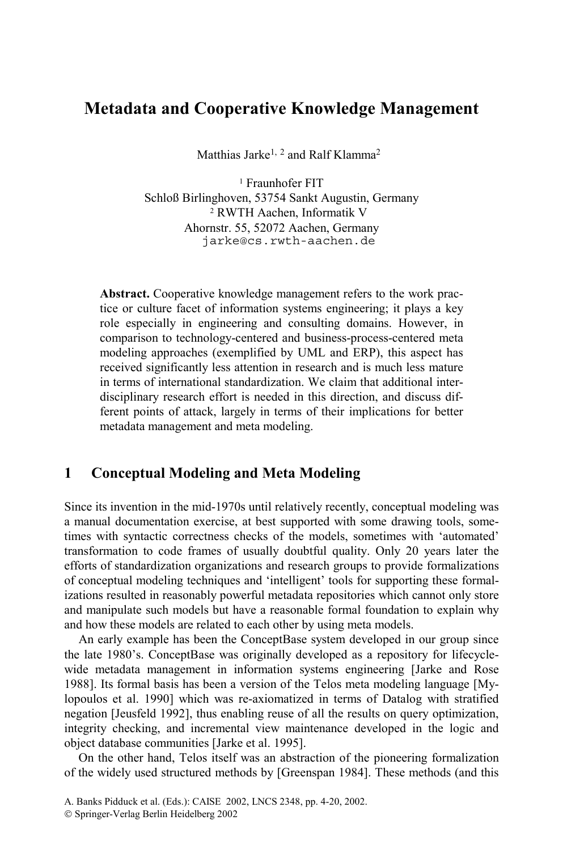# **Metadata and Cooperative Knowledge Management**

Matthias Jarke<sup>1, 2</sup> and Ralf Klamma<sup>2</sup>

1 Fraunhofer FIT Schloß Birlinghoven, 53754 Sankt Augustin, Germany 2 RWTH Aachen, Informatik V Ahornstr. 55, 52072 Aachen, Germany jarke@cs.rwth-aachen.de

**Abstract.** Cooperative knowledge management refers to the work practice or culture facet of information systems engineering; it plays a key role especially in engineering and consulting domains. However, in comparison to technology-centered and business-process-centered meta modeling approaches (exemplified by UML and ERP), this aspect has received significantly less attention in research and is much less mature in terms of international standardization. We claim that additional interdisciplinary research effort is needed in this direction, and discuss different points of attack, largely in terms of their implications for better metadata management and meta modeling.

## **1 Conceptual Modeling and Meta Modeling**

Since its invention in the mid-1970s until relatively recently, conceptual modeling was a manual documentation exercise, at best supported with some drawing tools, sometimes with syntactic correctness checks of the models, sometimes with 'automated' transformation to code frames of usually doubtful quality. Only 20 years later the efforts of standardization organizations and research groups to provide formalizations of conceptual modeling techniques and 'intelligent' tools for supporting these formalizations resulted in reasonably powerful metadata repositories which cannot only store and manipulate such models but have a reasonable formal foundation to explain why and how these models are related to each other by using meta models.

An early example has been the ConceptBase system developed in our group since the late 1980's. ConceptBase was originally developed as a repository for lifecyclewide metadata management in information systems engineering [Jarke and Rose 1988]. Its formal basis has been a version of the Telos meta modeling language [Mylopoulos et al. 1990] which was re-axiomatized in terms of Datalog with stratified negation [Jeusfeld 1992], thus enabling reuse of all the results on query optimization, integrity checking, and incremental view maintenance developed in the logic and object database communities [Jarke et al. 1995].

On the other hand, Telos itself was an abstraction of the pioneering formalization of the widely used structured methods by [Greenspan 1984]. These methods (and this

A. Banks Pidduck et al. (Eds.): CAISE 2002, LNCS 2348, pp. 4-20, 2002.

Springer-Verlag Berlin Heidelberg 2002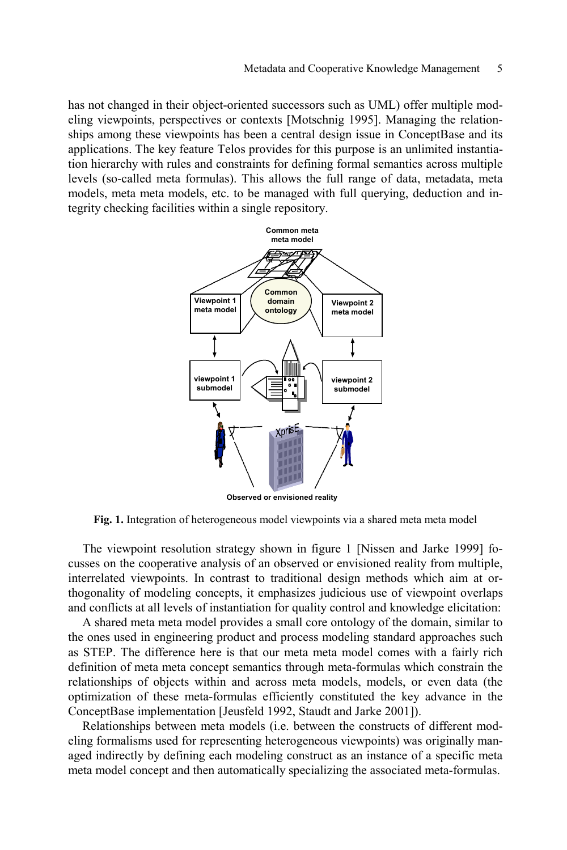has not changed in their object-oriented successors such as UML) offer multiple modeling viewpoints, perspectives or contexts [Motschnig 1995]. Managing the relationships among these viewpoints has been a central design issue in ConceptBase and its applications. The key feature Telos provides for this purpose is an unlimited instantiation hierarchy with rules and constraints for defining formal semantics across multiple levels (so-called meta formulas). This allows the full range of data, metadata, meta models, meta meta models, etc. to be managed with full querying, deduction and integrity checking facilities within a single repository.



**Fig. 1.** Integration of heterogeneous model viewpoints via a shared meta meta model

The viewpoint resolution strategy shown in figure 1 [Nissen and Jarke 1999] focusses on the cooperative analysis of an observed or envisioned reality from multiple, interrelated viewpoints. In contrast to traditional design methods which aim at orthogonality of modeling concepts, it emphasizes judicious use of viewpoint overlaps and conflicts at all levels of instantiation for quality control and knowledge elicitation:

A shared meta meta model provides a small core ontology of the domain, similar to the ones used in engineering product and process modeling standard approaches such as STEP. The difference here is that our meta meta model comes with a fairly rich definition of meta meta concept semantics through meta-formulas which constrain the relationships of objects within and across meta models, models, or even data (the optimization of these meta-formulas efficiently constituted the key advance in the ConceptBase implementation [Jeusfeld 1992, Staudt and Jarke 2001]).

Relationships between meta models (i.e. between the constructs of different modeling formalisms used for representing heterogeneous viewpoints) was originally managed indirectly by defining each modeling construct as an instance of a specific meta meta model concept and then automatically specializing the associated meta-formulas.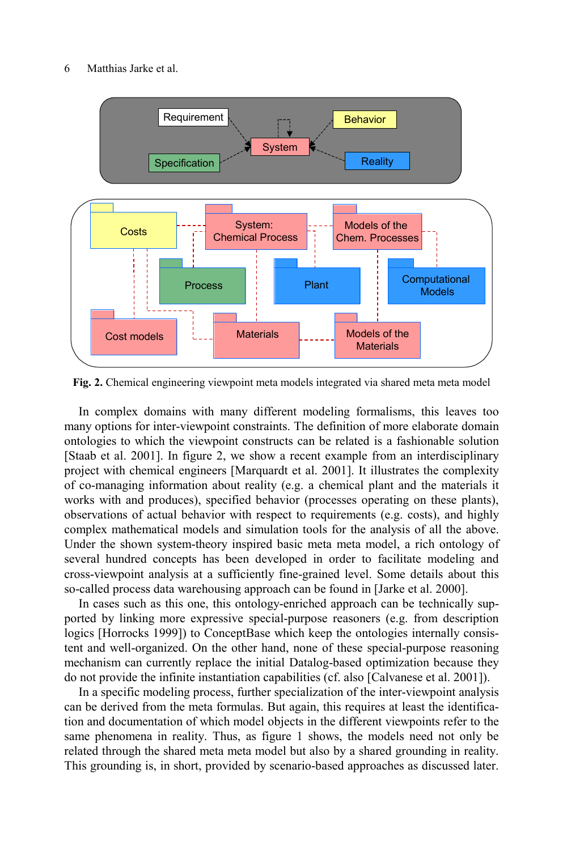

**Fig. 2.** Chemical engineering viewpoint meta models integrated via shared meta meta model

In complex domains with many different modeling formalisms, this leaves too many options for inter-viewpoint constraints. The definition of more elaborate domain ontologies to which the viewpoint constructs can be related is a fashionable solution [Staab et al. 2001]. In figure 2, we show a recent example from an interdisciplinary project with chemical engineers [Marquardt et al. 2001]. It illustrates the complexity of co-managing information about reality (e.g. a chemical plant and the materials it works with and produces), specified behavior (processes operating on these plants), observations of actual behavior with respect to requirements (e.g. costs), and highly complex mathematical models and simulation tools for the analysis of all the above. Under the shown system-theory inspired basic meta meta model, a rich ontology of several hundred concepts has been developed in order to facilitate modeling and cross-viewpoint analysis at a sufficiently fine-grained level. Some details about this so-called process data warehousing approach can be found in [Jarke et al. 2000].

In cases such as this one, this ontology-enriched approach can be technically supported by linking more expressive special-purpose reasoners (e.g. from description logics [Horrocks 1999]) to ConceptBase which keep the ontologies internally consistent and well-organized. On the other hand, none of these special-purpose reasoning mechanism can currently replace the initial Datalog-based optimization because they do not provide the infinite instantiation capabilities (cf. also [Calvanese et al. 2001]).

In a specific modeling process, further specialization of the inter-viewpoint analysis can be derived from the meta formulas. But again, this requires at least the identification and documentation of which model objects in the different viewpoints refer to the same phenomena in reality. Thus, as figure 1 shows, the models need not only be related through the shared meta meta model but also by a shared grounding in reality. This grounding is, in short, provided by scenario-based approaches as discussed later.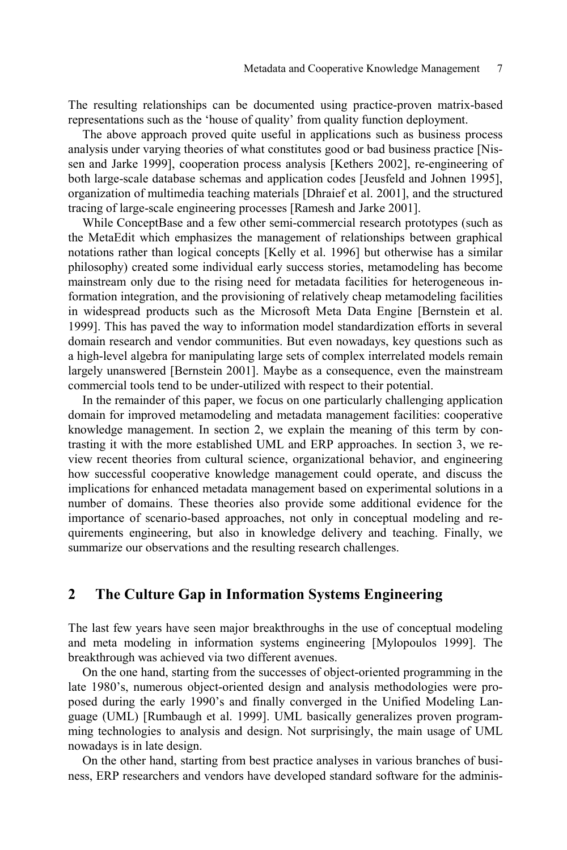The resulting relationships can be documented using practice-proven matrix-based representations such as the 'house of quality' from quality function deployment.

The above approach proved quite useful in applications such as business process analysis under varying theories of what constitutes good or bad business practice [Nissen and Jarke 1999], cooperation process analysis [Kethers 2002], re-engineering of both large-scale database schemas and application codes [Jeusfeld and Johnen 1995], organization of multimedia teaching materials [Dhraief et al. 2001], and the structured tracing of large-scale engineering processes [Ramesh and Jarke 2001].

While ConceptBase and a few other semi-commercial research prototypes (such as the MetaEdit which emphasizes the management of relationships between graphical notations rather than logical concepts [Kelly et al. 1996] but otherwise has a similar philosophy) created some individual early success stories, metamodeling has become mainstream only due to the rising need for metadata facilities for heterogeneous information integration, and the provisioning of relatively cheap metamodeling facilities in widespread products such as the Microsoft Meta Data Engine [Bernstein et al. 1999]. This has paved the way to information model standardization efforts in several domain research and vendor communities. But even nowadays, key questions such as a high-level algebra for manipulating large sets of complex interrelated models remain largely unanswered [Bernstein 2001]. Maybe as a consequence, even the mainstream commercial tools tend to be under-utilized with respect to their potential.

In the remainder of this paper, we focus on one particularly challenging application domain for improved metamodeling and metadata management facilities: cooperative knowledge management. In section 2, we explain the meaning of this term by contrasting it with the more established UML and ERP approaches. In section 3, we review recent theories from cultural science, organizational behavior, and engineering how successful cooperative knowledge management could operate, and discuss the implications for enhanced metadata management based on experimental solutions in a number of domains. These theories also provide some additional evidence for the importance of scenario-based approaches, not only in conceptual modeling and requirements engineering, but also in knowledge delivery and teaching. Finally, we summarize our observations and the resulting research challenges.

## **2 The Culture Gap in Information Systems Engineering**

The last few years have seen major breakthroughs in the use of conceptual modeling and meta modeling in information systems engineering [Mylopoulos 1999]. The breakthrough was achieved via two different avenues.

On the one hand, starting from the successes of object-oriented programming in the late 1980's, numerous object-oriented design and analysis methodologies were proposed during the early 1990's and finally converged in the Unified Modeling Language (UML) [Rumbaugh et al. 1999]. UML basically generalizes proven programming technologies to analysis and design. Not surprisingly, the main usage of UML nowadays is in late design.

On the other hand, starting from best practice analyses in various branches of business, ERP researchers and vendors have developed standard software for the adminis-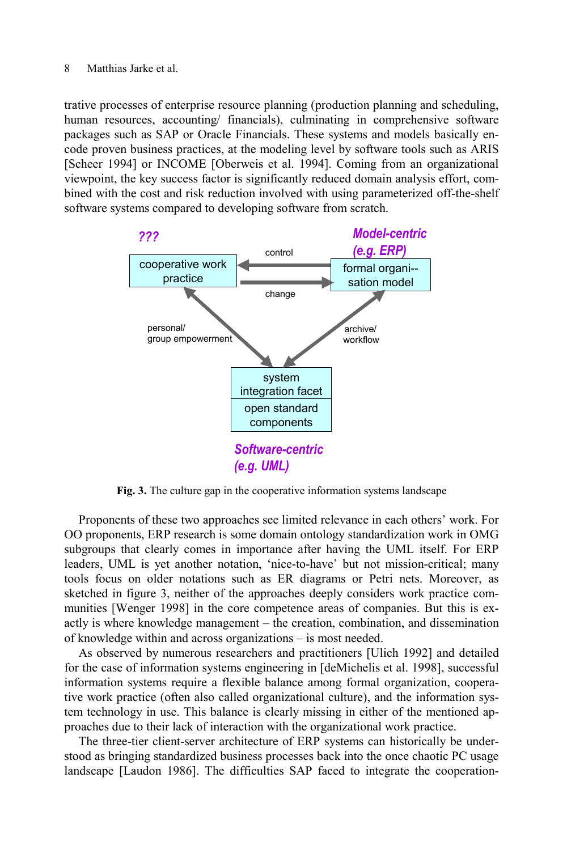trative processes of enterprise resource planning (production planning and scheduling, human resources, accounting/ financials), culminating in comprehensive software packages such as SAP or Oracle Financials. These systems and models basically encode proven business practices, at the modeling level by software tools such as ARIS [Scheer 1994] or INCOME [Oberweis et al. 1994]. Coming from an organizational viewpoint, the key success factor is significantly reduced domain analysis effort, combined with the cost and risk reduction involved with using parameterized off-the-shelf software systems compared to developing software from scratch.



**Fig. 3.** The culture gap in the cooperative information systems landscape

Proponents of these two approaches see limited relevance in each others' work. For OO proponents, ERP research is some domain ontology standardization work in OMG subgroups that clearly comes in importance after having the UML itself. For ERP leaders, UML is yet another notation, 'nice-to-have' but not mission-critical; many tools focus on older notations such as ER diagrams or Petri nets. Moreover, as sketched in figure 3, neither of the approaches deeply considers work practice communities [Wenger 1998] in the core competence areas of companies. But this is exactly is where knowledge management – the creation, combination, and dissemination of knowledge within and across organizations  $-$  is most needed.

As observed by numerous researchers and practitioners [Ulich 1992] and detailed for the case of information systems engineering in [deMichelis et al. 1998], successful information systems require a flexible balance among formal organization, cooperative work practice (often also called organizational culture), and the information system technology in use. This balance is clearly missing in either of the mentioned approaches due to their lack of interaction with the organizational work practice.

The three-tier client-server architecture of ERP systems can historically be understood as bringing standardized business processes back into the once chaotic PC usage landscape [Laudon 1986]. The difficulties SAP faced to integrate the cooperation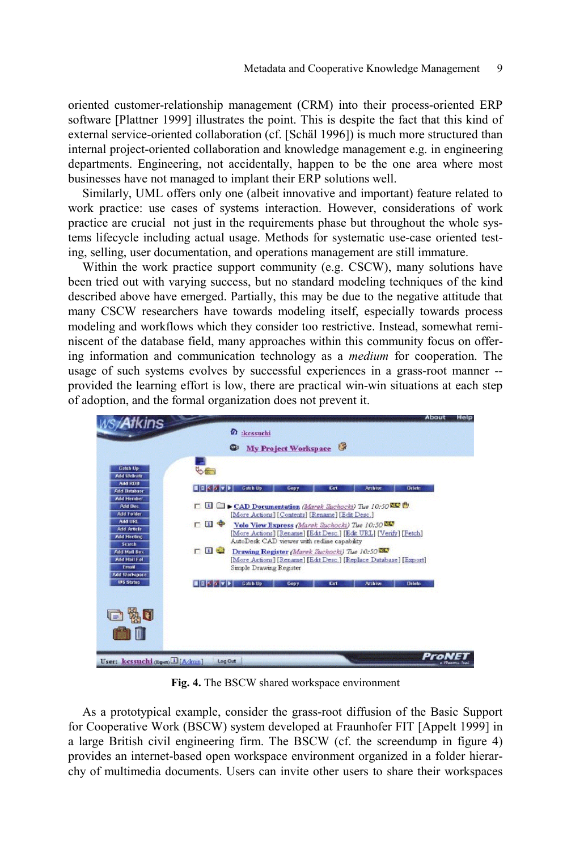oriented customer-relationship management (CRM) into their process-oriented ERP software [Plattner 1999] illustrates the point. This is despite the fact that this kind of external service-oriented collaboration (cf. [Schäl 1996]) is much more structured than internal project-oriented collaboration and knowledge management e.g. in engineering departments. Engineering, not accidentally, happen to be the one area where most businesses have not managed to implant their ERP solutions well.

Similarly, UML offers only one (albeit innovative and important) feature related to work practice: use cases of systems interaction. However, considerations of work practice are crucial not just in the requirements phase but throughout the whole systems lifecycle including actual usage. Methods for systematic use-case oriented testing, selling, user documentation, and operations management are still immature.

Within the work practice support community (e.g. CSCW), many solutions have been tried out with varying success, but no standard modeling techniques of the kind described above have emerged. Partially, this may be due to the negative attitude that many CSCW researchers have towards modeling itself, especially towards process modeling and workflows which they consider too restrictive. Instead, somewhat reminiscent of the database field, many approaches within this community focus on offering information and communication technology as a *medium* for cooperation. The usage of such systems evolves by successful experiences in a grass-root manner - provided the learning effort is low, there are practical win-win situations at each step of adoption, and the formal organization does not prevent it.

| <b>SARKINS</b>                                                                                                                                                                                     | h :kessuchi                                                                                                                                                                                                                                                                                                                                                                                                                                               |
|----------------------------------------------------------------------------------------------------------------------------------------------------------------------------------------------------|-----------------------------------------------------------------------------------------------------------------------------------------------------------------------------------------------------------------------------------------------------------------------------------------------------------------------------------------------------------------------------------------------------------------------------------------------------------|
|                                                                                                                                                                                                    | My Project Workspace<br><b>CD</b>                                                                                                                                                                                                                                                                                                                                                                                                                         |
| <b>Catch Up</b><br><b>Add Ulebsite</b>                                                                                                                                                             | 55                                                                                                                                                                                                                                                                                                                                                                                                                                                        |
| <b>Add RDB</b><br><b>Add Batabase</b>                                                                                                                                                              | $\blacksquare$ $\blacksquare$ $\blacksquare$ $\blacksquare$ $\blacksquare$ $\blacksquare$<br><b>Catch Up</b><br><b>Delete</b><br><b>Copy</b><br>Eut<br><b>Archive</b>                                                                                                                                                                                                                                                                                     |
| Add Hember<br><b>Add Bor</b><br><b>Add Folder</b><br><b>Add URL</b><br><b>Add Article</b><br><b>Add Hecting</b><br>Se anch<br>Add Mail Box<br><b>Add Hail Fel</b><br>Email<br><b>Add Workspace</b> | <b>T U CAD Documentation</b> (Marck Suchockt) Two 10:50 LE C<br>[More Actions] [Contents] [Rename] [Edit Desc.]<br>口田中<br>Volo View Express (Marck Suchocki) Tue 10:50 LEP<br>[More Actions] [Rename] [Edit Desc.] [Edit URL] [Verify] [Fetch]<br>AutoDesk CAD viewer with redine capability<br>□ ■ ● ■<br>Drawing Register (Marek Suchocki) Tue 10:50 287<br>[More Actions] [Rename] [Edit Desc.] [Replace Database] [Export]<br>Simple Drawing Register |
| <b>WS Struss</b>                                                                                                                                                                                   | <b>Catch Up</b><br>同国医防<br>Archive<br>Drietr-<br>Copy<br>Eirt                                                                                                                                                                                                                                                                                                                                                                                             |
|                                                                                                                                                                                                    |                                                                                                                                                                                                                                                                                                                                                                                                                                                           |

**Fig. 4.** The BSCW shared workspace environment

As a prototypical example, consider the grass-root diffusion of the Basic Support for Cooperative Work (BSCW) system developed at Fraunhofer FIT [Appelt 1999] in a large British civil engineering firm. The BSCW (cf. the screendump in figure 4) provides an internet-based open workspace environment organized in a folder hierarchy of multimedia documents. Users can invite other users to share their workspaces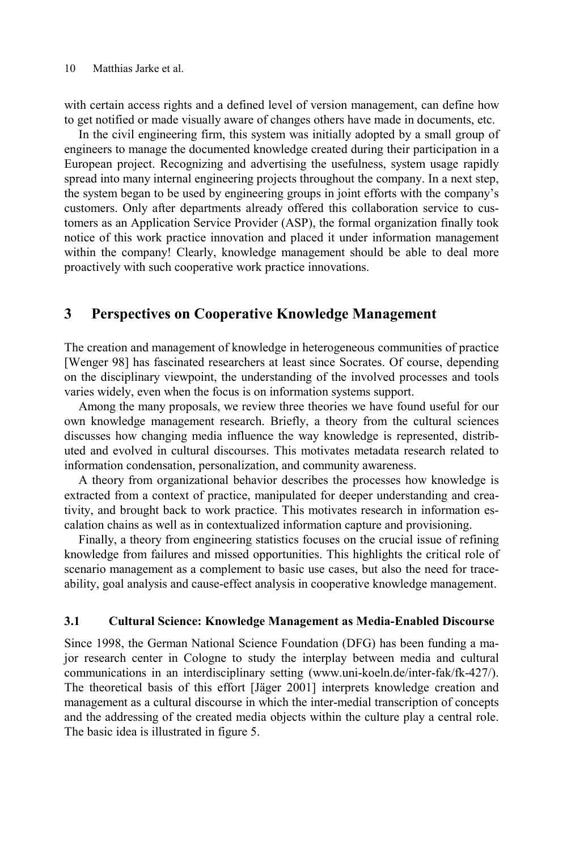with certain access rights and a defined level of version management, can define how to get notified or made visually aware of changes others have made in documents, etc.

In the civil engineering firm, this system was initially adopted by a small group of engineers to manage the documented knowledge created during their participation in a European project. Recognizing and advertising the usefulness, system usage rapidly spread into many internal engineering projects throughout the company. In a next step, the system began to be used by engineering groups in joint efforts with the companyís customers. Only after departments already offered this collaboration service to customers as an Application Service Provider (ASP), the formal organization finally took notice of this work practice innovation and placed it under information management within the company! Clearly, knowledge management should be able to deal more proactively with such cooperative work practice innovations.

## **3 Perspectives on Cooperative Knowledge Management**

The creation and management of knowledge in heterogeneous communities of practice [Wenger 98] has fascinated researchers at least since Socrates. Of course, depending on the disciplinary viewpoint, the understanding of the involved processes and tools varies widely, even when the focus is on information systems support.

Among the many proposals, we review three theories we have found useful for our own knowledge management research. Briefly, a theory from the cultural sciences discusses how changing media influence the way knowledge is represented, distributed and evolved in cultural discourses. This motivates metadata research related to information condensation, personalization, and community awareness.

A theory from organizational behavior describes the processes how knowledge is extracted from a context of practice, manipulated for deeper understanding and creativity, and brought back to work practice. This motivates research in information escalation chains as well as in contextualized information capture and provisioning.

Finally, a theory from engineering statistics focuses on the crucial issue of refining knowledge from failures and missed opportunities. This highlights the critical role of scenario management as a complement to basic use cases, but also the need for traceability, goal analysis and cause-effect analysis in cooperative knowledge management.

#### **3.1 Cultural Science: Knowledge Management as Media-Enabled Discourse**

Since 1998, the German National Science Foundation (DFG) has been funding a major research center in Cologne to study the interplay between media and cultural communications in an interdisciplinary setting (www.uni-koeln.de/inter-fak/fk-427/). The theoretical basis of this effort [Jäger 2001] interprets knowledge creation and management as a cultural discourse in which the inter-medial transcription of concepts and the addressing of the created media objects within the culture play a central role. The basic idea is illustrated in figure 5.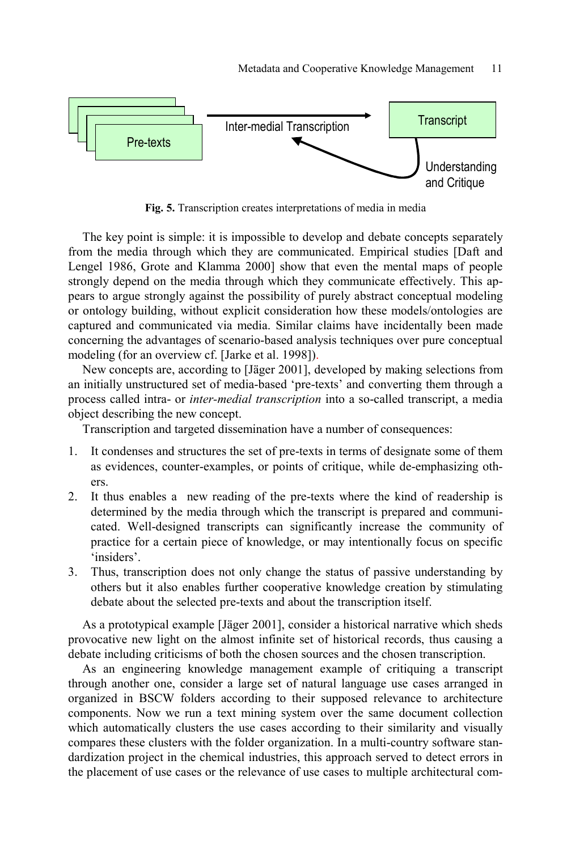

**Fig. 5.** Transcription creates interpretations of media in media

The key point is simple: it is impossible to develop and debate concepts separately from the media through which they are communicated. Empirical studies [Daft and Lengel 1986, Grote and Klamma 2000] show that even the mental maps of people strongly depend on the media through which they communicate effectively. This appears to argue strongly against the possibility of purely abstract conceptual modeling or ontology building, without explicit consideration how these models/ontologies are captured and communicated via media. Similar claims have incidentally been made concerning the advantages of scenario-based analysis techniques over pure conceptual modeling (for an overview cf. [Jarke et al. 1998]).

New concepts are, according to [Jäger 2001], developed by making selections from an initially unstructured set of media-based 'pre-texts' and converting them through a process called intra- or *inter-medial transcription* into a so-called transcript, a media object describing the new concept.

Transcription and targeted dissemination have a number of consequences:

- 1. It condenses and structures the set of pre-texts in terms of designate some of them as evidences, counter-examples, or points of critique, while de-emphasizing others.
- 2. It thus enables a new reading of the pre-texts where the kind of readership is determined by the media through which the transcript is prepared and communicated. Well-designed transcripts can significantly increase the community of practice for a certain piece of knowledge, or may intentionally focus on specific 'insiders'
- 3. Thus, transcription does not only change the status of passive understanding by others but it also enables further cooperative knowledge creation by stimulating debate about the selected pre-texts and about the transcription itself.

As a prototypical example [Jäger 2001], consider a historical narrative which sheds provocative new light on the almost infinite set of historical records, thus causing a debate including criticisms of both the chosen sources and the chosen transcription.

As an engineering knowledge management example of critiquing a transcript through another one, consider a large set of natural language use cases arranged in organized in BSCW folders according to their supposed relevance to architecture components. Now we run a text mining system over the same document collection which automatically clusters the use cases according to their similarity and visually compares these clusters with the folder organization. In a multi-country software standardization project in the chemical industries, this approach served to detect errors in the placement of use cases or the relevance of use cases to multiple architectural com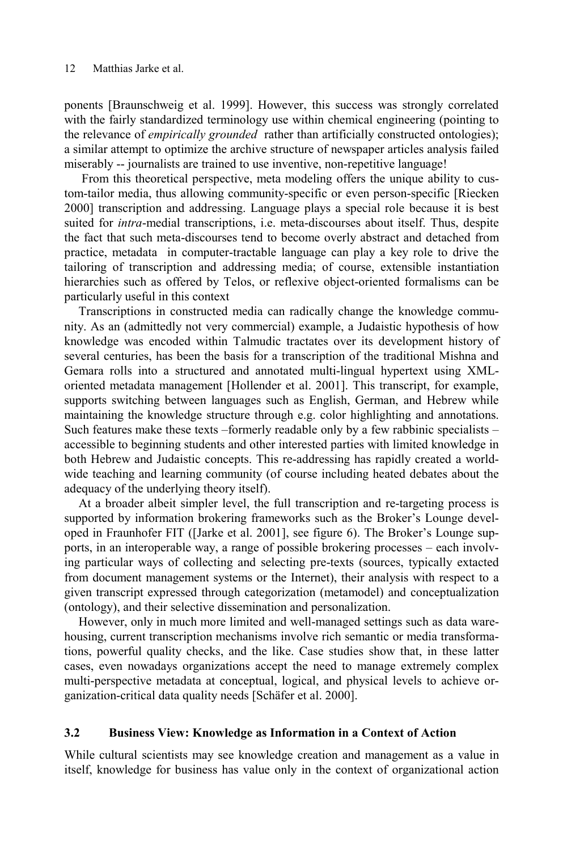ponents [Braunschweig et al. 1999]. However, this success was strongly correlated with the fairly standardized terminology use within chemical engineering (pointing to the relevance of *empirically grounded* rather than artificially constructed ontologies); a similar attempt to optimize the archive structure of newspaper articles analysis failed miserably -- journalists are trained to use inventive, non-repetitive language!

 From this theoretical perspective, meta modeling offers the unique ability to custom-tailor media, thus allowing community-specific or even person-specific [Riecken 2000] transcription and addressing. Language plays a special role because it is best suited for *intra*-medial transcriptions, i.e. meta-discourses about itself. Thus, despite the fact that such meta-discourses tend to become overly abstract and detached from practice, metadata in computer-tractable language can play a key role to drive the tailoring of transcription and addressing media; of course, extensible instantiation hierarchies such as offered by Telos, or reflexive object-oriented formalisms can be particularly useful in this context

Transcriptions in constructed media can radically change the knowledge community. As an (admittedly not very commercial) example, a Judaistic hypothesis of how knowledge was encoded within Talmudic tractates over its development history of several centuries, has been the basis for a transcription of the traditional Mishna and Gemara rolls into a structured and annotated multi-lingual hypertext using XMLoriented metadata management [Hollender et al. 2001]. This transcript, for example, supports switching between languages such as English, German, and Hebrew while maintaining the knowledge structure through e.g. color highlighting and annotations. Such features make these texts –formerly readable only by a few rabbinic specialists – accessible to beginning students and other interested parties with limited knowledge in both Hebrew and Judaistic concepts. This re-addressing has rapidly created a worldwide teaching and learning community (of course including heated debates about the adequacy of the underlying theory itself).

At a broader albeit simpler level, the full transcription and re-targeting process is supported by information brokering frameworks such as the Broker's Lounge developed in Fraunhofer FIT ([Jarke et al. 2001], see figure 6). The Broker's Lounge supports, in an interoperable way, a range of possible brokering processes – each involving particular ways of collecting and selecting pre-texts (sources, typically extacted from document management systems or the Internet), their analysis with respect to a given transcript expressed through categorization (metamodel) and conceptualization (ontology), and their selective dissemination and personalization.

However, only in much more limited and well-managed settings such as data warehousing, current transcription mechanisms involve rich semantic or media transformations, powerful quality checks, and the like. Case studies show that, in these latter cases, even nowadays organizations accept the need to manage extremely complex multi-perspective metadata at conceptual, logical, and physical levels to achieve organization-critical data quality needs [Schäfer et al. 2000].

### **3.2 Business View: Knowledge as Information in a Context of Action**

While cultural scientists may see knowledge creation and management as a value in itself, knowledge for business has value only in the context of organizational action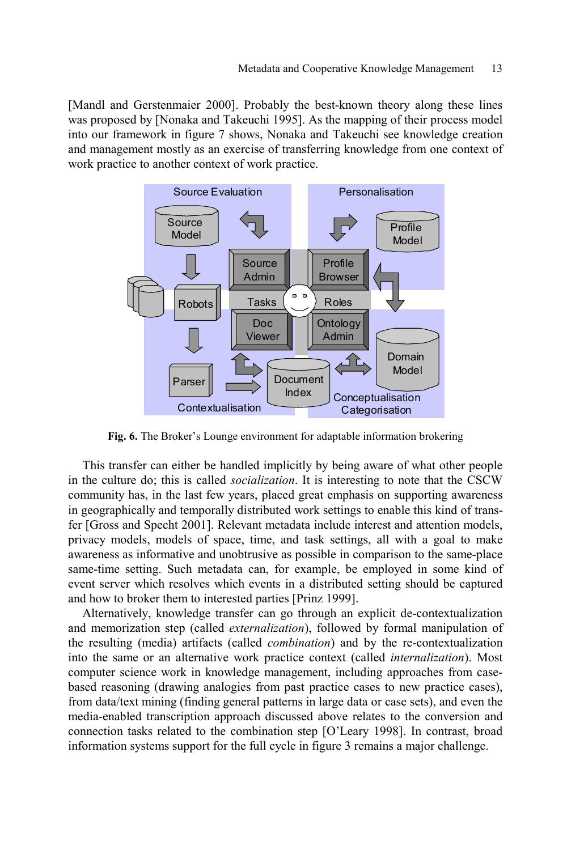[Mandl and Gerstenmaier 2000]. Probably the best-known theory along these lines was proposed by [Nonaka and Takeuchi 1995]. As the mapping of their process model into our framework in figure 7 shows, Nonaka and Takeuchi see knowledge creation and management mostly as an exercise of transferring knowledge from one context of work practice to another context of work practice.



Fig. 6. The Broker's Lounge environment for adaptable information brokering

This transfer can either be handled implicitly by being aware of what other people in the culture do; this is called *socialization*. It is interesting to note that the CSCW community has, in the last few years, placed great emphasis on supporting awareness in geographically and temporally distributed work settings to enable this kind of transfer [Gross and Specht 2001]. Relevant metadata include interest and attention models, privacy models, models of space, time, and task settings, all with a goal to make awareness as informative and unobtrusive as possible in comparison to the same-place same-time setting. Such metadata can, for example, be employed in some kind of event server which resolves which events in a distributed setting should be captured and how to broker them to interested parties [Prinz 1999].

Alternatively, knowledge transfer can go through an explicit de-contextualization and memorization step (called *externalization*), followed by formal manipulation of the resulting (media) artifacts (called *combination*) and by the re-contextualization into the same or an alternative work practice context (called *internalization*). Most computer science work in knowledge management, including approaches from casebased reasoning (drawing analogies from past practice cases to new practice cases), from data/text mining (finding general patterns in large data or case sets), and even the media-enabled transcription approach discussed above relates to the conversion and connection tasks related to the combination step [O'Leary 1998]. In contrast, broad information systems support for the full cycle in figure 3 remains a major challenge.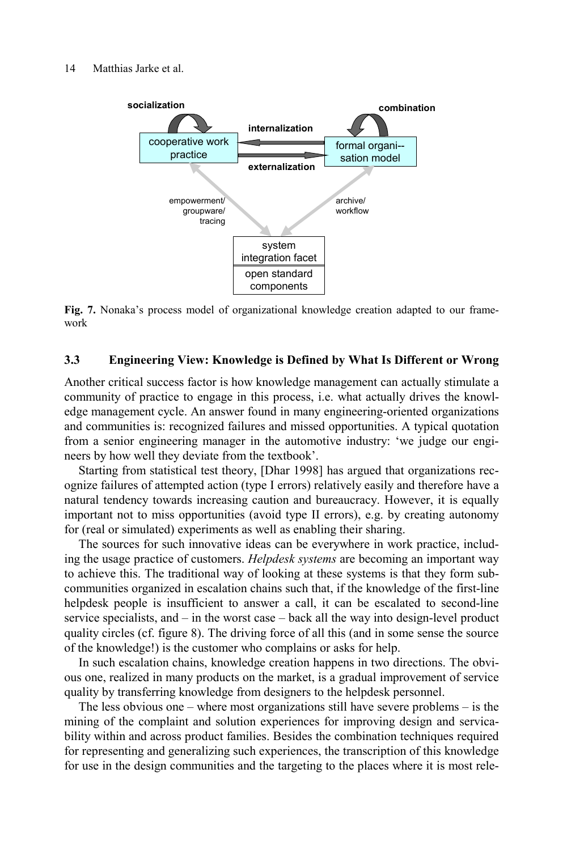

**Fig. 7.** Nonaka's process model of organizational knowledge creation adapted to our framework

#### **3.3 Engineering View: Knowledge is Defined by What Is Different or Wrong**

Another critical success factor is how knowledge management can actually stimulate a community of practice to engage in this process, i.e. what actually drives the knowledge management cycle. An answer found in many engineering-oriented organizations and communities is: recognized failures and missed opportunities. A typical quotation from a senior engineering manager in the automotive industry: ëwe judge our engineers by how well they deviate from the textbook'.

Starting from statistical test theory, [Dhar 1998] has argued that organizations recognize failures of attempted action (type I errors) relatively easily and therefore have a natural tendency towards increasing caution and bureaucracy. However, it is equally important not to miss opportunities (avoid type II errors), e.g. by creating autonomy for (real or simulated) experiments as well as enabling their sharing.

The sources for such innovative ideas can be everywhere in work practice, including the usage practice of customers. *Helpdesk systems* are becoming an important way to achieve this. The traditional way of looking at these systems is that they form subcommunities organized in escalation chains such that, if the knowledge of the first-line helpdesk people is insufficient to answer a call, it can be escalated to second-line service specialists, and  $\overline{-}$  in the worst case  $\overline{-}$  back all the way into design-level product quality circles (cf. figure 8). The driving force of all this (and in some sense the source of the knowledge!) is the customer who complains or asks for help.

In such escalation chains, knowledge creation happens in two directions. The obvious one, realized in many products on the market, is a gradual improvement of service quality by transferring knowledge from designers to the helpdesk personnel.

The less obvious one  $-$  where most organizations still have severe problems  $-$  is the mining of the complaint and solution experiences for improving design and servicability within and across product families. Besides the combination techniques required for representing and generalizing such experiences, the transcription of this knowledge for use in the design communities and the targeting to the places where it is most rele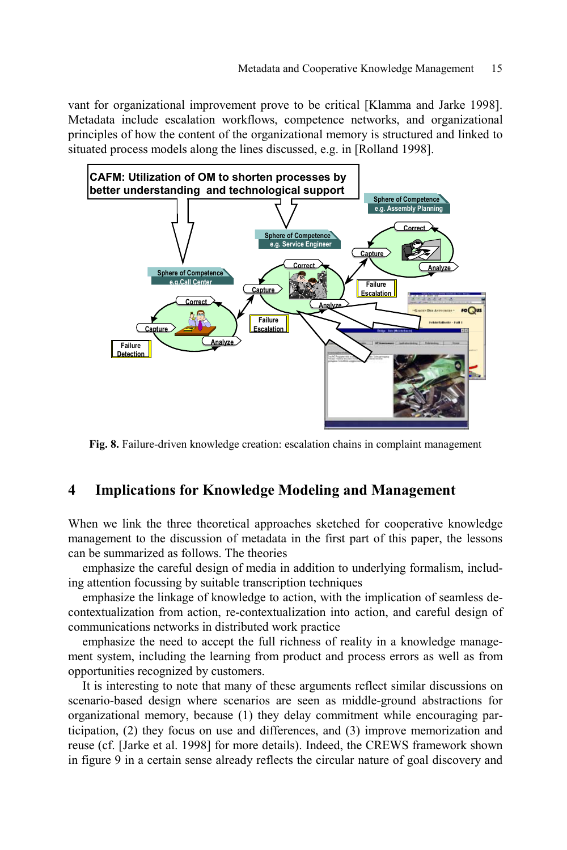vant for organizational improvement prove to be critical [Klamma and Jarke 1998]. Metadata include escalation workflows, competence networks, and organizational principles of how the content of the organizational memory is structured and linked to situated process models along the lines discussed, e.g. in [Rolland 1998].



**Fig. 8.** Failure-driven knowledge creation: escalation chains in complaint management

## **4 Implications for Knowledge Modeling and Management**

When we link the three theoretical approaches sketched for cooperative knowledge management to the discussion of metadata in the first part of this paper, the lessons can be summarized as follows. The theories

emphasize the careful design of media in addition to underlying formalism, including attention focussing by suitable transcription techniques

emphasize the linkage of knowledge to action, with the implication of seamless decontextualization from action, re-contextualization into action, and careful design of communications networks in distributed work practice

emphasize the need to accept the full richness of reality in a knowledge management system, including the learning from product and process errors as well as from opportunities recognized by customers.

It is interesting to note that many of these arguments reflect similar discussions on scenario-based design where scenarios are seen as middle-ground abstractions for organizational memory, because (1) they delay commitment while encouraging participation, (2) they focus on use and differences, and (3) improve memorization and reuse (cf. [Jarke et al. 1998] for more details). Indeed, the CREWS framework shown in figure 9 in a certain sense already reflects the circular nature of goal discovery and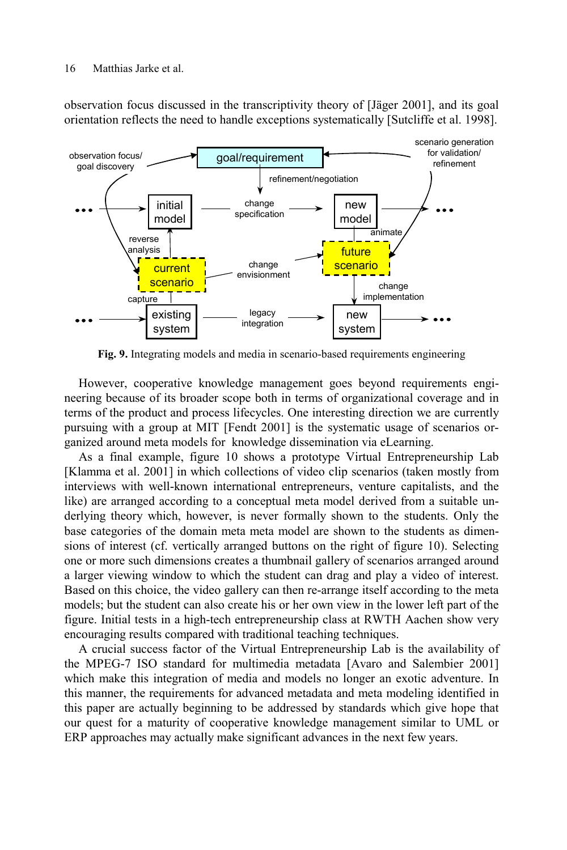observation focus discussed in the transcriptivity theory of [Jäger 2001], and its goal orientation reflects the need to handle exceptions systematically [Sutcliffe et al. 1998].



**Fig. 9.** Integrating models and media in scenario-based requirements engineering

However, cooperative knowledge management goes beyond requirements engineering because of its broader scope both in terms of organizational coverage and in terms of the product and process lifecycles. One interesting direction we are currently pursuing with a group at MIT [Fendt 2001] is the systematic usage of scenarios organized around meta models for knowledge dissemination via eLearning.

As a final example, figure 10 shows a prototype Virtual Entrepreneurship Lab [Klamma et al. 2001] in which collections of video clip scenarios (taken mostly from interviews with well-known international entrepreneurs, venture capitalists, and the like) are arranged according to a conceptual meta model derived from a suitable underlying theory which, however, is never formally shown to the students. Only the base categories of the domain meta meta model are shown to the students as dimensions of interest (cf. vertically arranged buttons on the right of figure 10). Selecting one or more such dimensions creates a thumbnail gallery of scenarios arranged around a larger viewing window to which the student can drag and play a video of interest. Based on this choice, the video gallery can then re-arrange itself according to the meta models; but the student can also create his or her own view in the lower left part of the figure. Initial tests in a high-tech entrepreneurship class at RWTH Aachen show very encouraging results compared with traditional teaching techniques.

A crucial success factor of the Virtual Entrepreneurship Lab is the availability of the MPEG-7 ISO standard for multimedia metadata [Avaro and Salembier 2001] which make this integration of media and models no longer an exotic adventure. In this manner, the requirements for advanced metadata and meta modeling identified in this paper are actually beginning to be addressed by standards which give hope that our quest for a maturity of cooperative knowledge management similar to UML or ERP approaches may actually make significant advances in the next few years.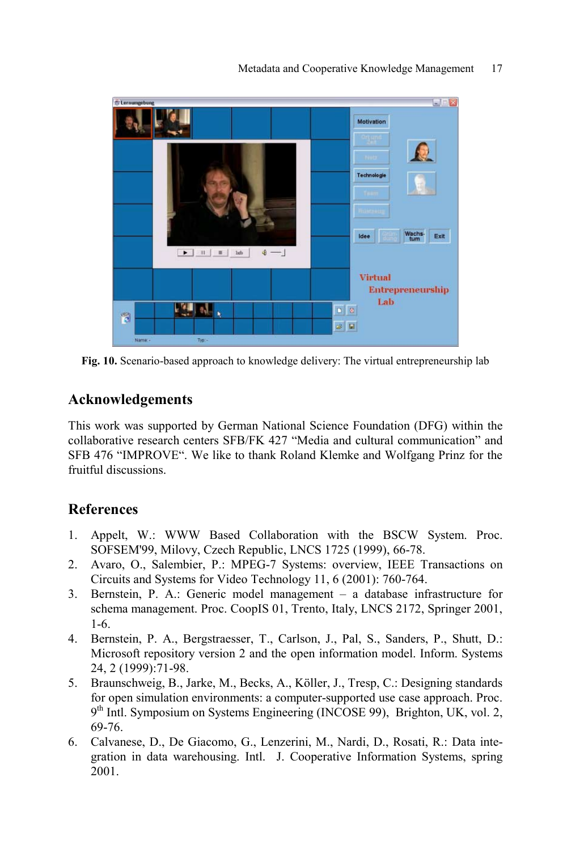Metadata and Cooperative Knowledge Management 17



**Fig. 10.** Scenario-based approach to knowledge delivery: The virtual entrepreneurship lab

# **Acknowledgements**

This work was supported by German National Science Foundation (DFG) within the collaborative research centers SFB/FK 427 "Media and cultural communication" and SFB 476 "IMPROVE". We like to thank Roland Klemke and Wolfgang Prinz for the fruitful discussions.

# **References**

- 1. Appelt, W.: WWW Based Collaboration with the BSCW System. Proc. SOFSEM'99, Milovy, Czech Republic, LNCS 1725 (1999), 66-78.
- 2. Avaro, O., Salembier, P.: MPEG-7 Systems: overview, IEEE Transactions on Circuits and Systems for Video Technology 11, 6 (2001): 760-764.
- 3. Bernstein, P. A.: Generic model management  $-$  a database infrastructure for schema management. Proc. CoopIS 01, Trento, Italy, LNCS 2172, Springer 2001, 1-6.
- 4. Bernstein, P. A., Bergstraesser, T., Carlson, J., Pal, S., Sanders, P., Shutt, D.: Microsoft repository version 2 and the open information model. Inform. Systems 24, 2 (1999):71-98.
- 5. Braunschweig, B., Jarke, M., Becks, A., Kˆller, J., Tresp, C.: Designing standards for open simulation environments: a computer-supported use case approach. Proc.  $9<sup>th</sup>$  Intl. Symposium on Systems Engineering (INCOSE 99), Brighton, UK, vol. 2, 69-76.
- 6. Calvanese, D., De Giacomo, G., Lenzerini, M., Nardi, D., Rosati, R.: Data integration in data warehousing. Intl. J. Cooperative Information Systems, spring 2001.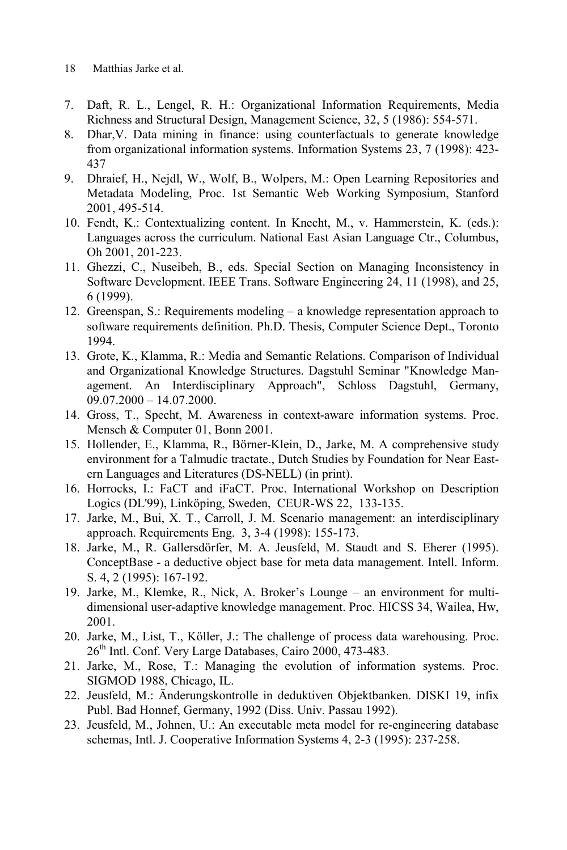- 18 Matthias Jarke et al.
- 7. Daft, R. L., Lengel, R. H.: Organizational Information Requirements, Media Richness and Structural Design, Management Science, 32, 5 (1986): 554-571.
- 8. Dhar,V. Data mining in finance: using counterfactuals to generate knowledge from organizational information systems. Information Systems 23, 7 (1998): 423- 437
- 9. Dhraief, H., Nejdl, W., Wolf, B., Wolpers, M.: Open Learning Repositories and Metadata Modeling, Proc. 1st Semantic Web Working Symposium, Stanford 2001, 495-514.
- 10. Fendt, K.: Contextualizing content. In Knecht, M., v. Hammerstein, K. (eds.): Languages across the curriculum. National East Asian Language Ctr., Columbus, Oh 2001, 201-223.
- 11. Ghezzi, C., Nuseibeh, B., eds. Special Section on Managing Inconsistency in Software Development. IEEE Trans. Software Engineering 24, 11 (1998), and 25, 6 (1999).
- 12. Greenspan, S.: Requirements modeling  $-$  a knowledge representation approach to software requirements definition. Ph.D. Thesis, Computer Science Dept., Toronto 1994.
- 13. Grote, K., Klamma, R.: Media and Semantic Relations. Comparison of Individual and Organizational Knowledge Structures. Dagstuhl Seminar "Knowledge Management. An Interdisciplinary Approach", Schloss Dagstuhl, Germany,  $09.07.2000 - 14.07.2000$ .
- 14. Gross, T., Specht, M. Awareness in context-aware information systems. Proc. Mensch & Computer 01, Bonn 2001.
- 15. Hollender, E., Klamma, R., Börner-Klein, D., Jarke, M. A comprehensive study environment for a Talmudic tractate., Dutch Studies by Foundation for Near Eastern Languages and Literatures (DS-NELL) (in print).
- 16. Horrocks, I.: FaCT and iFaCT. Proc. International Workshop on Description Logics (DL'99), Linköping, Sweden, CEUR-WS 22, 133-135.
- 17. Jarke, M., Bui, X. T., Carroll, J. M. Scenario management: an interdisciplinary approach. Requirements Eng. 3, 3-4 (1998): 155-173.
- 18. Jarke, M., R. Gallersdörfer, M. A. Jeusfeld, M. Staudt and S. Eherer (1995). ConceptBase - a deductive object base for meta data management. Intell. Inform. S. 4, 2 (1995): 167-192.
- 19. Jarke, M., Klemke, R., Nick, A. Broker's Lounge an environment for multidimensional user-adaptive knowledge management. Proc. HICSS 34, Wailea, Hw, 2001.
- 20. Jarke, M., List, T., Kˆller, J.: The challenge of process data warehousing. Proc. 26<sup>th</sup> Intl. Conf. Very Large Databases, Cairo 2000, 473-483.
- 21. Jarke, M., Rose, T.: Managing the evolution of information systems. Proc. SIGMOD 1988, Chicago, IL.
- 22. Jeusfeld, M.: Änderungskontrolle in deduktiven Objektbanken. DISKI 19. infix Publ. Bad Honnef, Germany, 1992 (Diss. Univ. Passau 1992).
- 23. Jeusfeld, M., Johnen, U.: An executable meta model for re-engineering database schemas, Intl. J. Cooperative Information Systems 4, 2-3 (1995): 237-258.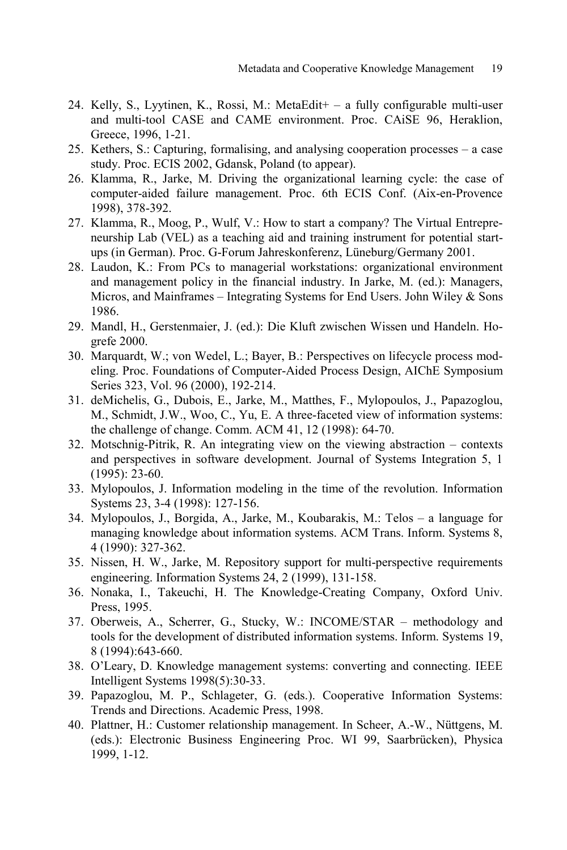- 24. Kelly, S., Lyytinen, K., Rossi, M.: MetaEdit+ a fully configurable multi-user and multi-tool CASE and CAME environment. Proc. CAiSE 96, Heraklion, Greece, 1996, 1-21.
- 25. Kethers, S.: Capturing, formalising, and analysing cooperation processes  $-$  a case study. Proc. ECIS 2002, Gdansk, Poland (to appear).
- 26. Klamma, R., Jarke, M. Driving the organizational learning cycle: the case of computer-aided failure management. Proc. 6th ECIS Conf. (Aix-en-Provence 1998), 378-392.
- 27. Klamma, R., Moog, P., Wulf, V.: How to start a company? The Virtual Entrepreneurship Lab (VEL) as a teaching aid and training instrument for potential startups (in German). Proc. G-Forum Jahreskonferenz, Lüneburg/Germany 2001.
- 28. Laudon, K.: From PCs to managerial workstations: organizational environment and management policy in the financial industry. In Jarke, M. (ed.): Managers, Micros, and Mainframes – Integrating Systems for End Users. John Wiley  $\&$  Sons 1986.
- 29. Mandl, H., Gerstenmaier, J. (ed.): Die Kluft zwischen Wissen und Handeln. Hogrefe 2000.
- 30. Marquardt, W.; von Wedel, L.; Bayer, B.: Perspectives on lifecycle process modeling. Proc. Foundations of Computer-Aided Process Design, AIChE Symposium Series 323, Vol. 96 (2000), 192-214.
- 31. deMichelis, G., Dubois, E., Jarke, M., Matthes, F., Mylopoulos, J., Papazoglou, M., Schmidt, J.W., Woo, C., Yu, E. A three-faceted view of information systems: the challenge of change. Comm. ACM 41, 12 (1998): 64-70.
- 32. Motschnig-Pitrik, R. An integrating view on the viewing abstraction  $-$  contexts and perspectives in software development. Journal of Systems Integration 5, 1 (1995): 23-60.
- 33. Mylopoulos, J. Information modeling in the time of the revolution. Information Systems 23, 3-4 (1998): 127-156.
- 34. Mylopoulos, J., Borgida, A., Jarke, M., Koubarakis, M.: Telos a language for managing knowledge about information systems. ACM Trans. Inform. Systems 8, 4 (1990): 327-362.
- 35. Nissen, H. W., Jarke, M. Repository support for multi-perspective requirements engineering. Information Systems 24, 2 (1999), 131-158.
- 36. Nonaka, I., Takeuchi, H. The Knowledge-Creating Company, Oxford Univ. Press, 1995.
- 37. Oberweis, A., Scherrer, G., Stucky, W.: INCOME/STAR methodology and tools for the development of distributed information systems. Inform. Systems 19, 8 (1994):643-660.
- 38. OíLeary, D. Knowledge management systems: converting and connecting. IEEE Intelligent Systems 1998(5):30-33.
- 39. Papazoglou, M. P., Schlageter, G. (eds.). Cooperative Information Systems: Trends and Directions. Academic Press, 1998.
- 40. Plattner, H.: Customer relationship management. In Scheer, A.-W., Nüttgens, M. (eds.): Electronic Business Engineering Proc. WI 99, Saarbrücken), Physica 1999, 1-12.